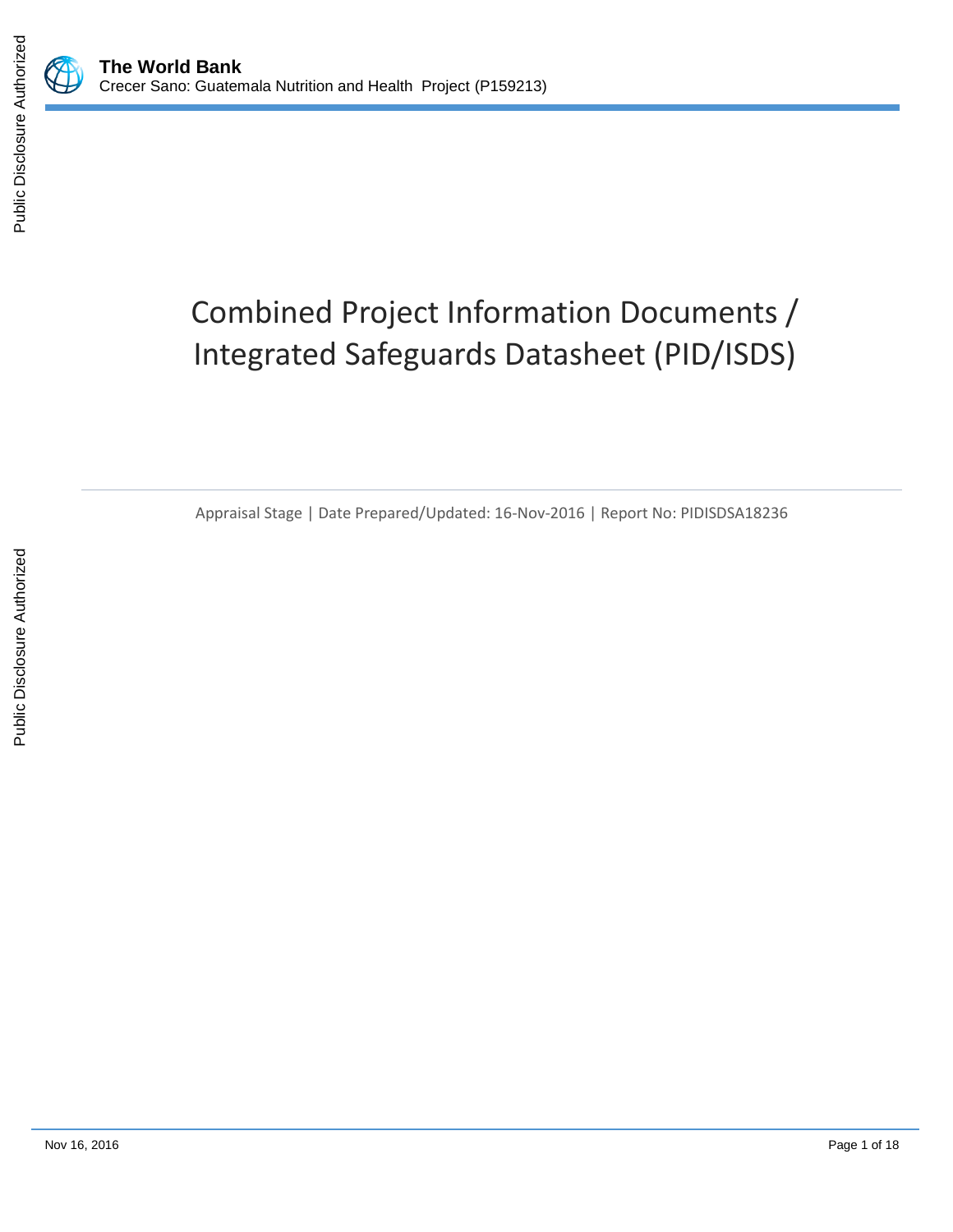



# Combined Project Information Documents / Integrated Safeguards Datasheet (PID/ISDS)

Appraisal Stage | Date Prepared/Updated: 16-Nov-2016 | Report No: PIDISDSA18236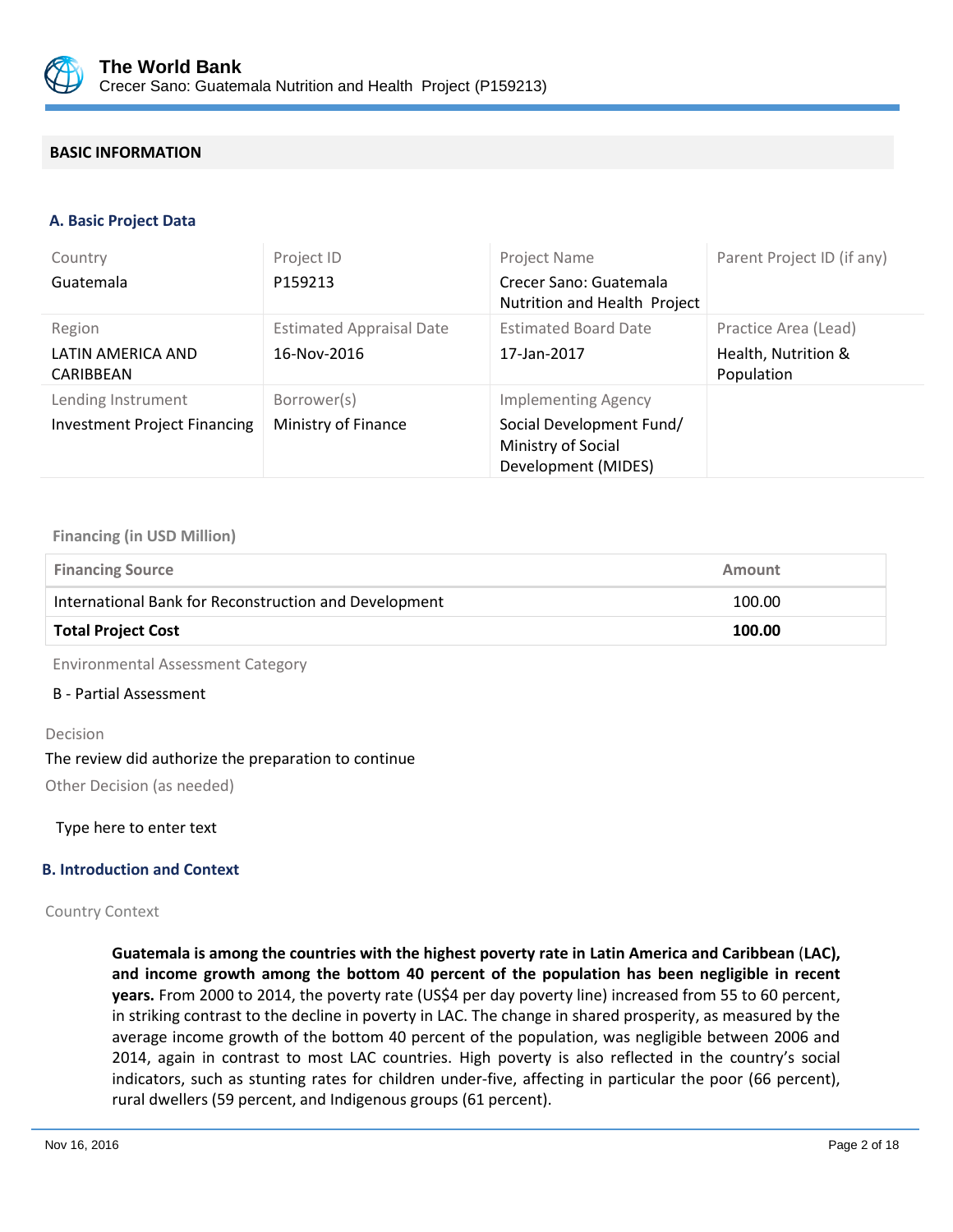

## **BASIC INFORMATION**

#### **A. Basic Project Data**

| Country<br>Guatemala                                      | Project ID<br>P159213                          | <b>Project Name</b><br>Crecer Sano: Guatemala<br>Nutrition and Health Project                       | Parent Project ID (if any)                                |
|-----------------------------------------------------------|------------------------------------------------|-----------------------------------------------------------------------------------------------------|-----------------------------------------------------------|
| Region<br>LATIN AMERICA AND<br>CARIBBEAN                  | <b>Estimated Appraisal Date</b><br>16-Nov-2016 | <b>Estimated Board Date</b><br>17-Jan-2017                                                          | Practice Area (Lead)<br>Health, Nutrition &<br>Population |
| Lending Instrument<br><b>Investment Project Financing</b> | Borrower(s)<br>Ministry of Finance             | <b>Implementing Agency</b><br>Social Development Fund/<br>Ministry of Social<br>Development (MIDES) |                                                           |

#### **Financing (in USD Million)**

| <b>Financing Source</b>                               | Amount |  |
|-------------------------------------------------------|--------|--|
| International Bank for Reconstruction and Development | 100.00 |  |
| <b>Total Project Cost</b>                             | 100.00 |  |

Environmental Assessment Category

#### B - Partial Assessment

#### Decision

#### The review did authorize the preparation to continue

Other Decision (as needed)

Type here to enter text

#### **B. Introduction and Context**

#### Country Context

**Guatemala is among the countries with the highest poverty rate in Latin America and Caribbean** (**LAC), and income growth among the bottom 40 percent of the population has been negligible in recent years.** From 2000 to 2014, the poverty rate (US\$4 per day poverty line) increased from 55 to 60 percent, in striking contrast to the decline in poverty in LAC. The change in shared prosperity, as measured by the average income growth of the bottom 40 percent of the population, was negligible between 2006 and 2014, again in contrast to most LAC countries. High poverty is also reflected in the country's social indicators, such as stunting rates for children under-five, affecting in particular the poor (66 percent), rural dwellers (59 percent, and Indigenous groups (61 percent).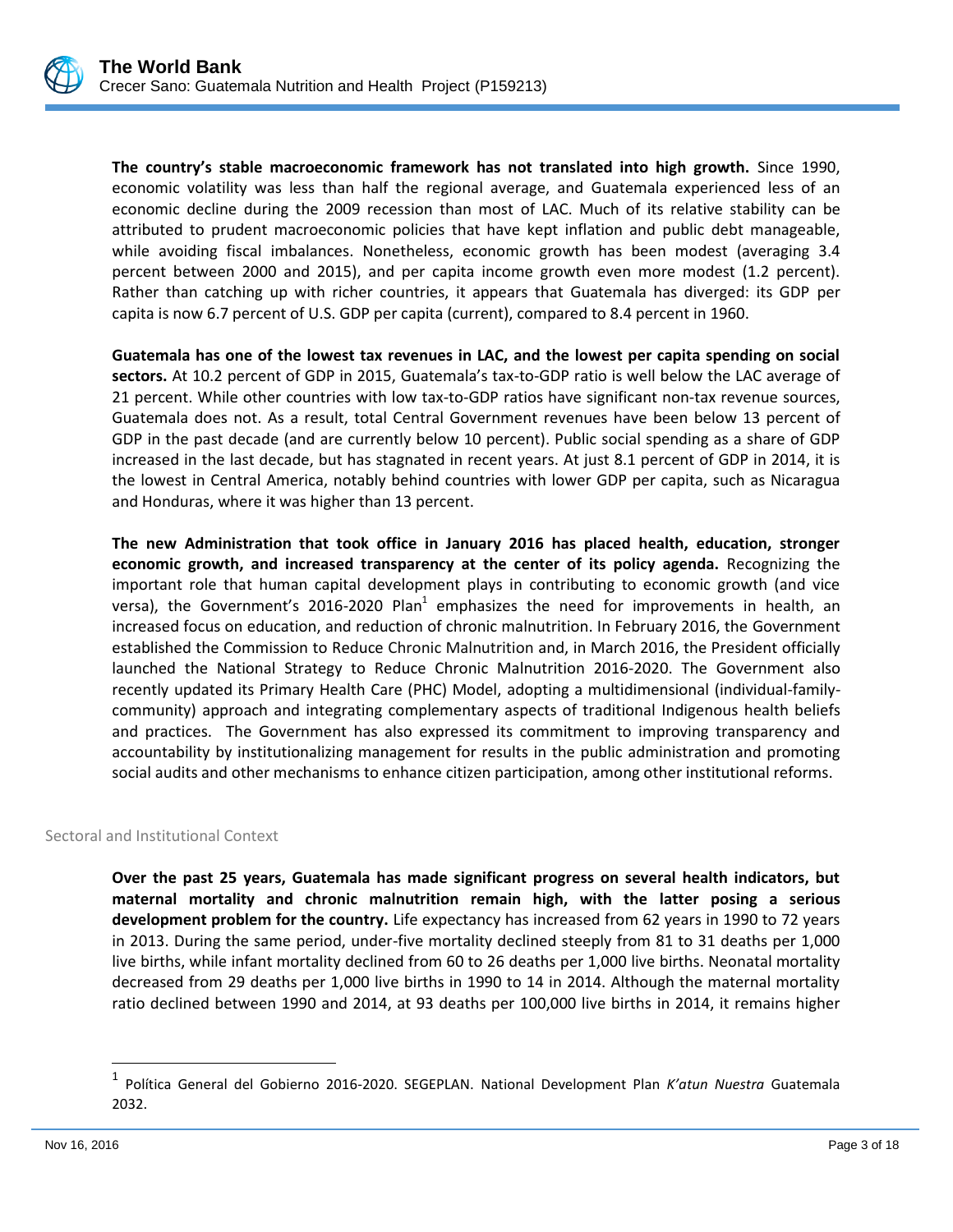

**The country's stable macroeconomic framework has not translated into high growth.** Since 1990, economic volatility was less than half the regional average, and Guatemala experienced less of an economic decline during the 2009 recession than most of LAC. Much of its relative stability can be attributed to prudent macroeconomic policies that have kept inflation and public debt manageable, while avoiding fiscal imbalances. Nonetheless, economic growth has been modest (averaging 3.4 percent between 2000 and 2015), and per capita income growth even more modest (1.2 percent). Rather than catching up with richer countries, it appears that Guatemala has diverged: its GDP per capita is now 6.7 percent of U.S. GDP per capita (current), compared to 8.4 percent in 1960.

**Guatemala has one of the lowest tax revenues in LAC, and the lowest per capita spending on social sectors.** At 10.2 percent of GDP in 2015, Guatemala's tax-to-GDP ratio is well below the LAC average of 21 percent. While other countries with low tax-to-GDP ratios have significant non-tax revenue sources, Guatemala does not. As a result, total Central Government revenues have been below 13 percent of GDP in the past decade (and are currently below 10 percent). Public social spending as a share of GDP increased in the last decade, but has stagnated in recent years. At just 8.1 percent of GDP in 2014, it is the lowest in Central America, notably behind countries with lower GDP per capita, such as Nicaragua and Honduras, where it was higher than 13 percent.

**The new Administration that took office in January 2016 has placed health, education, stronger economic growth, and increased transparency at the center of its policy agenda.** Recognizing the important role that human capital development plays in contributing to economic growth (and vice versa), the Government's 2016-2020 Plan<sup>1</sup> emphasizes the need for improvements in health, an increased focus on education, and reduction of chronic malnutrition. In February 2016, the Government established the Commission to Reduce Chronic Malnutrition and, in March 2016, the President officially launched the National Strategy to Reduce Chronic Malnutrition 2016-2020. The Government also recently updated its Primary Health Care (PHC) Model, adopting a multidimensional (individual-familycommunity) approach and integrating complementary aspects of traditional Indigenous health beliefs and practices. The Government has also expressed its commitment to improving transparency and accountability by institutionalizing management for results in the public administration and promoting social audits and other mechanisms to enhance citizen participation, among other institutional reforms.

Sectoral and Institutional Context

**Over the past 25 years, Guatemala has made significant progress on several health indicators, but maternal mortality and chronic malnutrition remain high, with the latter posing a serious development problem for the country.** Life expectancy has increased from 62 years in 1990 to 72 years in 2013. During the same period, under-five mortality declined steeply from 81 to 31 deaths per 1,000 live births, while infant mortality declined from 60 to 26 deaths per 1,000 live births. Neonatal mortality decreased from 29 deaths per 1,000 live births in 1990 to 14 in 2014. Although the maternal mortality ratio declined between 1990 and 2014, at 93 deaths per 100,000 live births in 2014, it remains higher

 $\overline{a}$ 

<sup>1</sup> Política General del Gobierno 2016-2020. SEGEPLAN. National Development Plan *K'atun Nuestra* Guatemala 2032.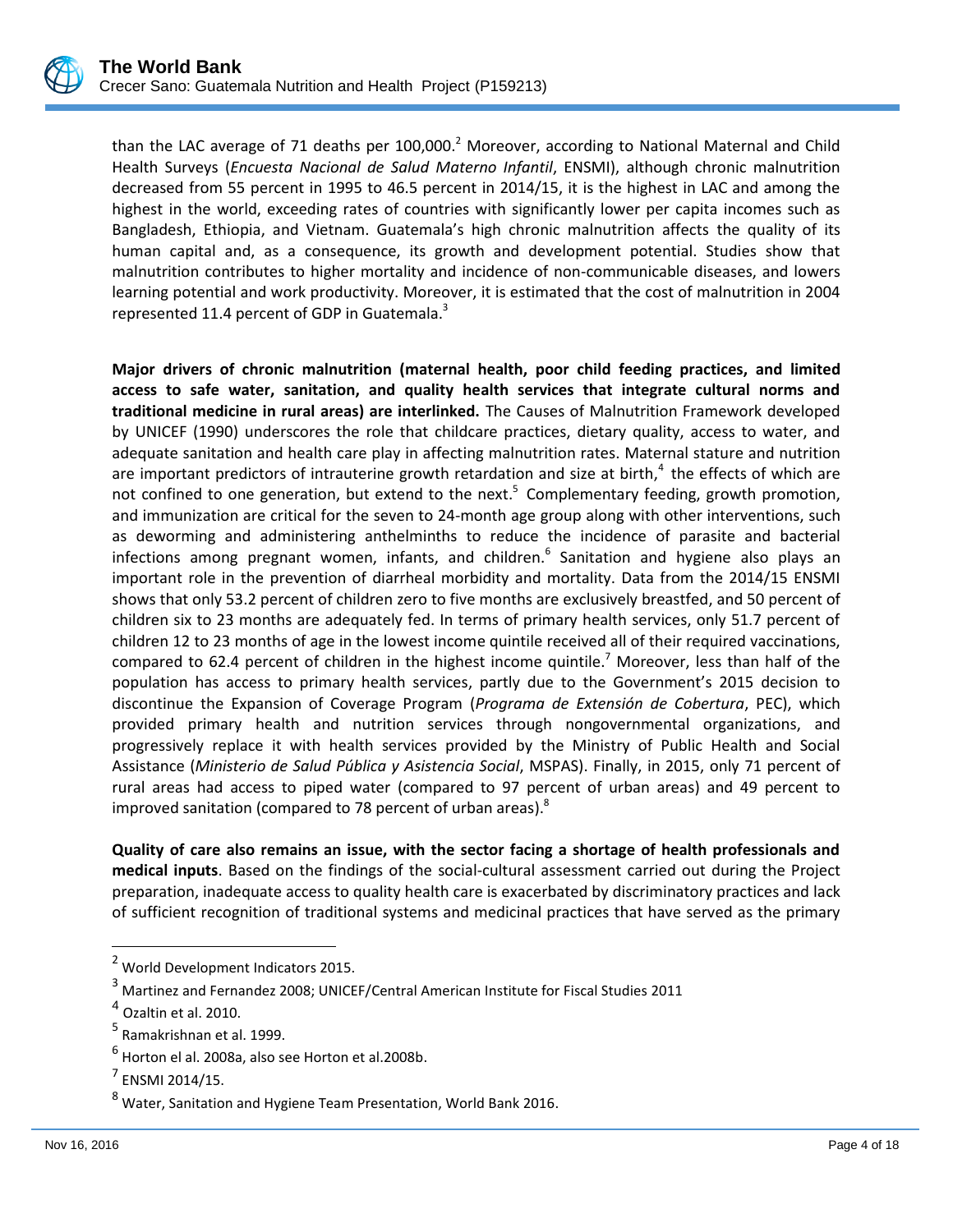

than the LAC average of 71 deaths per  $100,000$ .<sup>2</sup> Moreover, according to National Maternal and Child Health Surveys (*Encuesta Nacional de Salud Materno Infantil*, ENSMI), although chronic malnutrition decreased from 55 percent in 1995 to 46.5 percent in 2014/15, it is the highest in LAC and among the highest in the world, exceeding rates of countries with significantly lower per capita incomes such as Bangladesh, Ethiopia, and Vietnam. Guatemala's high chronic malnutrition affects the quality of its human capital and, as a consequence, its growth and development potential. Studies show that malnutrition contributes to higher mortality and incidence of non-communicable diseases, and lowers learning potential and work productivity. Moreover, it is estimated that the cost of malnutrition in 2004 represented 11.4 percent of GDP in Guatemala.<sup>3</sup>

**Major drivers of chronic malnutrition (maternal health, poor child feeding practices, and limited access to safe water, sanitation, and quality health services that integrate cultural norms and traditional medicine in rural areas) are interlinked.** The Causes of Malnutrition Framework developed by UNICEF (1990) underscores the role that childcare practices, dietary quality, access to water, and adequate sanitation and health care play in affecting malnutrition rates. Maternal stature and nutrition are important predictors of intrauterine growth retardation and size at birth,<sup>4</sup> the effects of which are not confined to one generation, but extend to the next.<sup>5</sup> Complementary feeding, growth promotion, and immunization are critical for the seven to 24-month age group along with other interventions, such as deworming and administering anthelminths to reduce the incidence of parasite and bacterial infections among pregnant women, infants, and children.<sup>6</sup> Sanitation and hygiene also plays an important role in the prevention of diarrheal morbidity and mortality. Data from the 2014/15 ENSMI shows that only 53.2 percent of children zero to five months are exclusively breastfed, and 50 percent of children six to 23 months are adequately fed. In terms of primary health services, only 51.7 percent of children 12 to 23 months of age in the lowest income quintile received all of their required vaccinations, compared to 62.4 percent of children in the highest income quintile.<sup>7</sup> Moreover, less than half of the population has access to primary health services, partly due to the Government's 2015 decision to discontinue the Expansion of Coverage Program (*Programa de Extensión de Cobertura*, PEC), which provided primary health and nutrition services through nongovernmental organizations, and progressively replace it with health services provided by the Ministry of Public Health and Social Assistance (*Ministerio de Salud Pública y Asistencia Social*, MSPAS). Finally, in 2015, only 71 percent of rural areas had access to piped water (compared to 97 percent of urban areas) and 49 percent to improved sanitation (compared to 78 percent of urban areas). $^{8}$ 

**Quality of care also remains an issue, with the sector facing a shortage of health professionals and medical inputs**. Based on the findings of the social-cultural assessment carried out during the Project preparation, inadequate access to quality health care is exacerbated by discriminatory practices and lack of sufficient recognition of traditional systems and medicinal practices that have served as the primary

 $\overline{a}$ 

<sup>2</sup> World Development Indicators 2015.

<sup>3</sup> Martinez and Fernandez 2008; UNICEF/Central American Institute for Fiscal Studies 2011

 $<sup>4</sup>$  Ozaltin et al. 2010.</sup>

<sup>&</sup>lt;sup>5</sup> Ramakrishnan et al. 1999.

 $^6$  Horton el al. 2008a, also see Horton et al.2008b.

 $<sup>7</sup>$  ENSMI 2014/15.</sup>

<sup>8</sup> Water, Sanitation and Hygiene Team Presentation, World Bank 2016.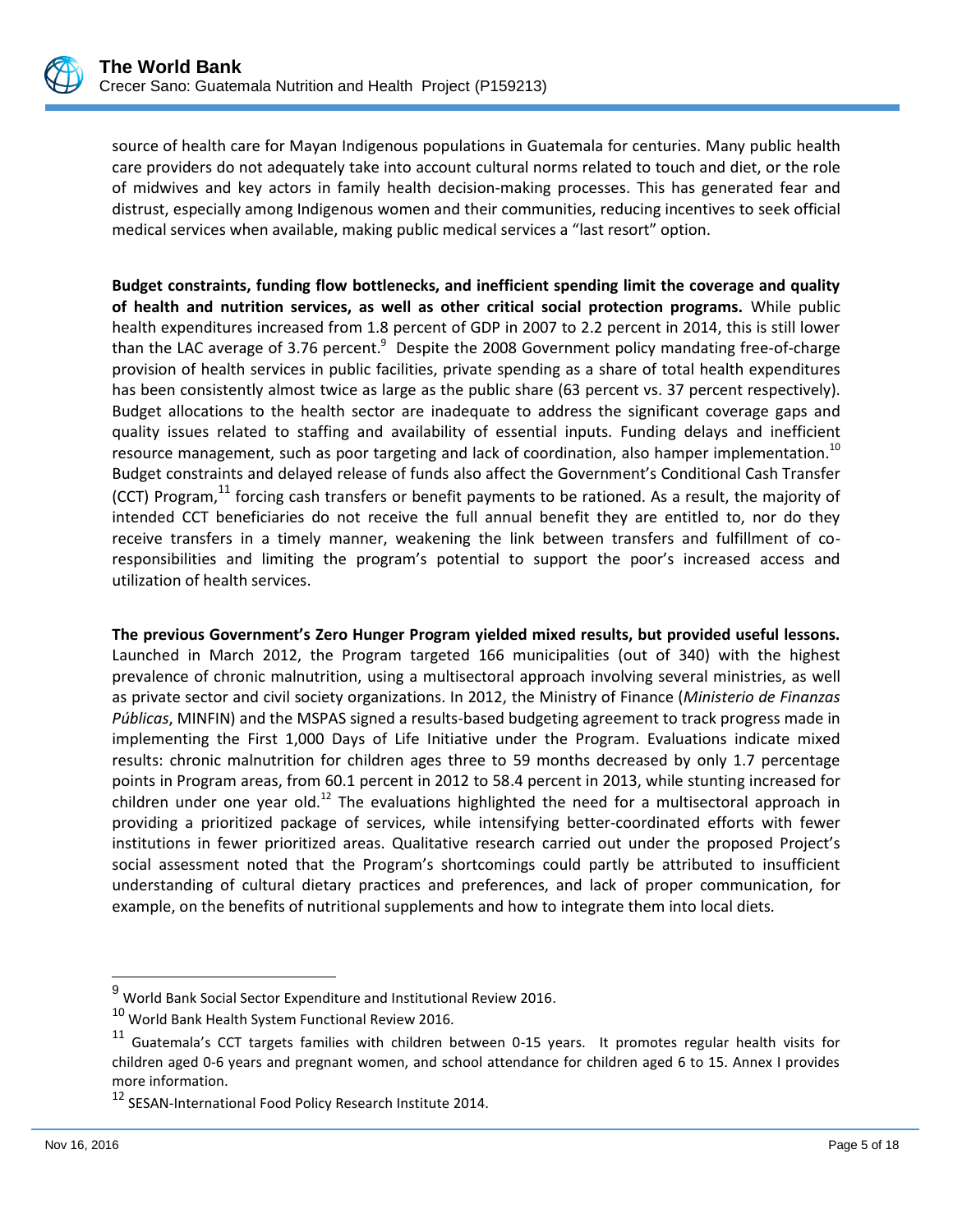

source of health care for Mayan Indigenous populations in Guatemala for centuries. Many public health care providers do not adequately take into account cultural norms related to touch and diet, or the role of midwives and key actors in family health decision-making processes. This has generated fear and distrust, especially among Indigenous women and their communities, reducing incentives to seek official medical services when available, making public medical services a "last resort" option.

**Budget constraints, funding flow bottlenecks, and inefficient spending limit the coverage and quality of health and nutrition services, as well as other critical social protection programs.** While public health expenditures increased from 1.8 percent of GDP in 2007 to 2.2 percent in 2014, this is still lower than the LAC average of 3.76 percent. $9$  Despite the 2008 Government policy mandating free-of-charge provision of health services in public facilities, private spending as a share of total health expenditures has been consistently almost twice as large as the public share (63 percent vs. 37 percent respectively). Budget allocations to the health sector are inadequate to address the significant coverage gaps and quality issues related to staffing and availability of essential inputs. Funding delays and inefficient resource management, such as poor targeting and lack of coordination, also hamper implementation.<sup>10</sup> Budget constraints and delayed release of funds also affect the Government's Conditional Cash Transfer (CCT) Program, $^{11}$  forcing cash transfers or benefit payments to be rationed. As a result, the majority of intended CCT beneficiaries do not receive the full annual benefit they are entitled to, nor do they receive transfers in a timely manner, weakening the link between transfers and fulfillment of coresponsibilities and limiting the program's potential to support the poor's increased access and utilization of health services.

**The previous Government's Zero Hunger Program yielded mixed results, but provided useful lessons.** Launched in March 2012, the Program targeted 166 municipalities (out of 340) with the highest prevalence of chronic malnutrition, using a multisectoral approach involving several ministries, as well as private sector and civil society organizations. In 2012, the Ministry of Finance (*Ministerio de Finanzas Públicas*, MINFIN) and the MSPAS signed a results-based budgeting agreement to track progress made in implementing the First 1,000 Days of Life Initiative under the Program. Evaluations indicate mixed results: chronic malnutrition for children ages three to 59 months decreased by only 1.7 percentage points in Program areas, from 60.1 percent in 2012 to 58.4 percent in 2013, while stunting increased for children under one year old.<sup>12</sup> The evaluations highlighted the need for a multisectoral approach in providing a prioritized package of services, while intensifying better-coordinated efforts with fewer institutions in fewer prioritized areas. Qualitative research carried out under the proposed Project's social assessment noted that the Program's shortcomings could partly be attributed to insufficient understanding of cultural dietary practices and preferences, and lack of proper communication, for example, on the benefits of nutritional supplements and how to integrate them into local diets*.* 

l

 $^9$  World Bank Social Sector Expenditure and Institutional Review 2016.

<sup>10</sup> World Bank Health System Functional Review 2016.

<sup>&</sup>lt;sup>11</sup> Guatemala's CCT targets families with children between 0-15 years. It promotes regular health visits for children aged 0-6 years and pregnant women, and school attendance for children aged 6 to 15. Annex I provides more information.

<sup>&</sup>lt;sup>12</sup> SESAN-International Food Policy Research Institute 2014.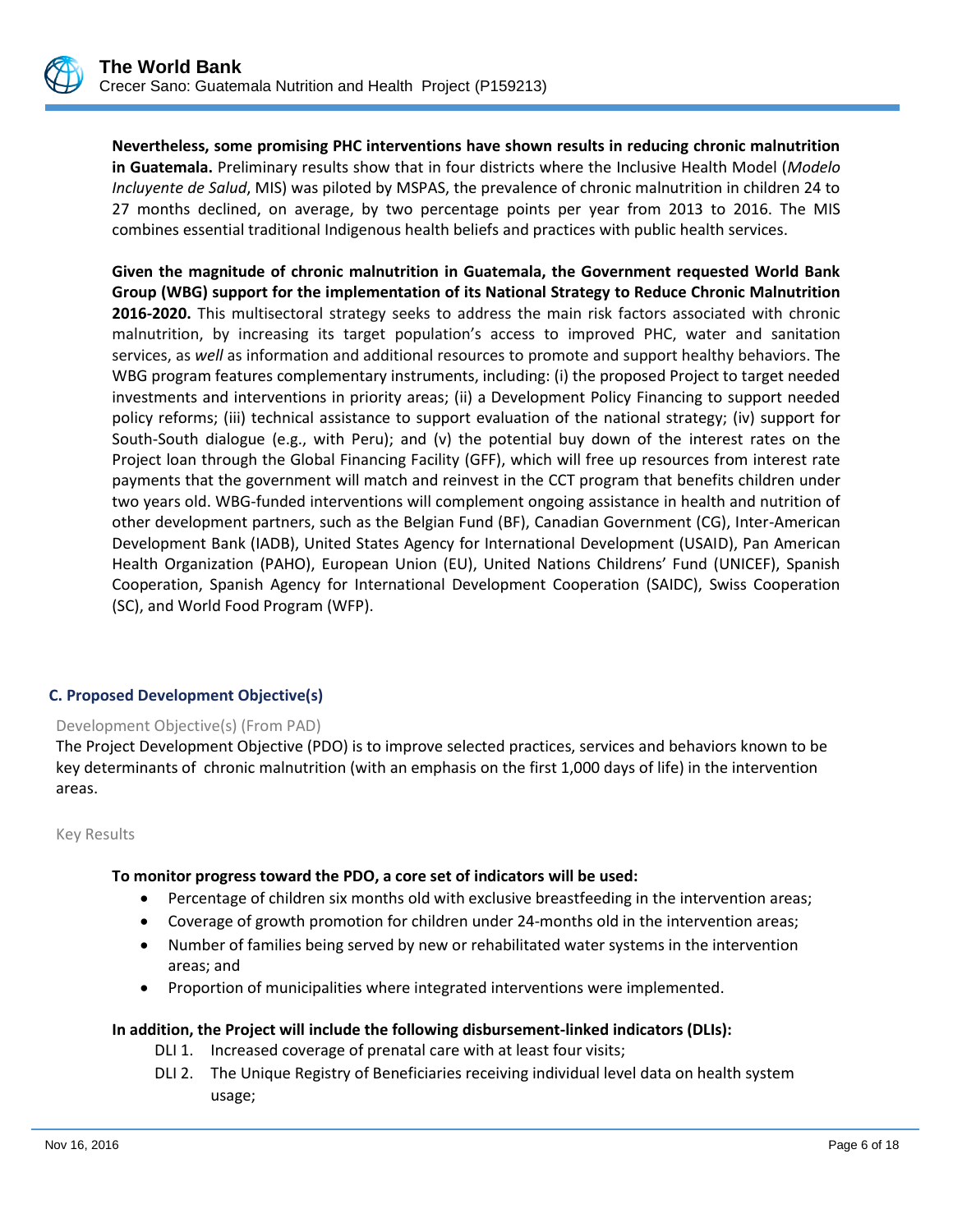

**Nevertheless, some promising PHC interventions have shown results in reducing chronic malnutrition in Guatemala.** Preliminary results show that in four districts where the Inclusive Health Model (*Modelo Incluyente de Salud*, MIS) was piloted by MSPAS, the prevalence of chronic malnutrition in children 24 to 27 months declined, on average, by two percentage points per year from 2013 to 2016. The MIS combines essential traditional Indigenous health beliefs and practices with public health services.

**Given the magnitude of chronic malnutrition in Guatemala, the Government requested World Bank Group (WBG) support for the implementation of its National Strategy to Reduce Chronic Malnutrition 2016-2020.** This multisectoral strategy seeks to address the main risk factors associated with chronic malnutrition, by increasing its target population's access to improved PHC, water and sanitation services, as *well* as information and additional resources to promote and support healthy behaviors. The WBG program features complementary instruments, including: (i) the proposed Project to target needed investments and interventions in priority areas; (ii) a Development Policy Financing to support needed policy reforms; (iii) technical assistance to support evaluation of the national strategy; (iv) support for South-South dialogue (e.g., with Peru); and (v) the potential buy down of the interest rates on the Project loan through the Global Financing Facility (GFF), which will free up resources from interest rate payments that the government will match and reinvest in the CCT program that benefits children under two years old. WBG-funded interventions will complement ongoing assistance in health and nutrition of other development partners, such as the Belgian Fund (BF), Canadian Government (CG), Inter-American Development Bank (IADB), United States Agency for International Development (USAID), Pan American Health Organization (PAHO), European Union (EU), United Nations Childrens' Fund (UNICEF), Spanish Cooperation, Spanish Agency for International Development Cooperation (SAIDC), Swiss Cooperation (SC), and World Food Program (WFP).

## **C. Proposed Development Objective(s)**

#### Development Objective(s) (From PAD)

The Project Development Objective (PDO) is to improve selected practices, services and behaviors known to be key determinants of chronic malnutrition (with an emphasis on the first 1,000 days of life) in the intervention areas.

Key Results

#### **To monitor progress toward the PDO, a core set of indicators will be used:**

- Percentage of children six months old with exclusive breastfeeding in the intervention areas;
- Coverage of growth promotion for children under 24-months old in the intervention areas;
- Number of families being served by new or rehabilitated water systems in the intervention areas; and
- Proportion of municipalities where integrated interventions were implemented.

#### **In addition, the Project will include the following disbursement-linked indicators (DLIs):**

- DLI 1. Increased coverage of prenatal care with at least four visits;
- DLI 2. The Unique Registry of Beneficiaries receiving individual level data on health system usage;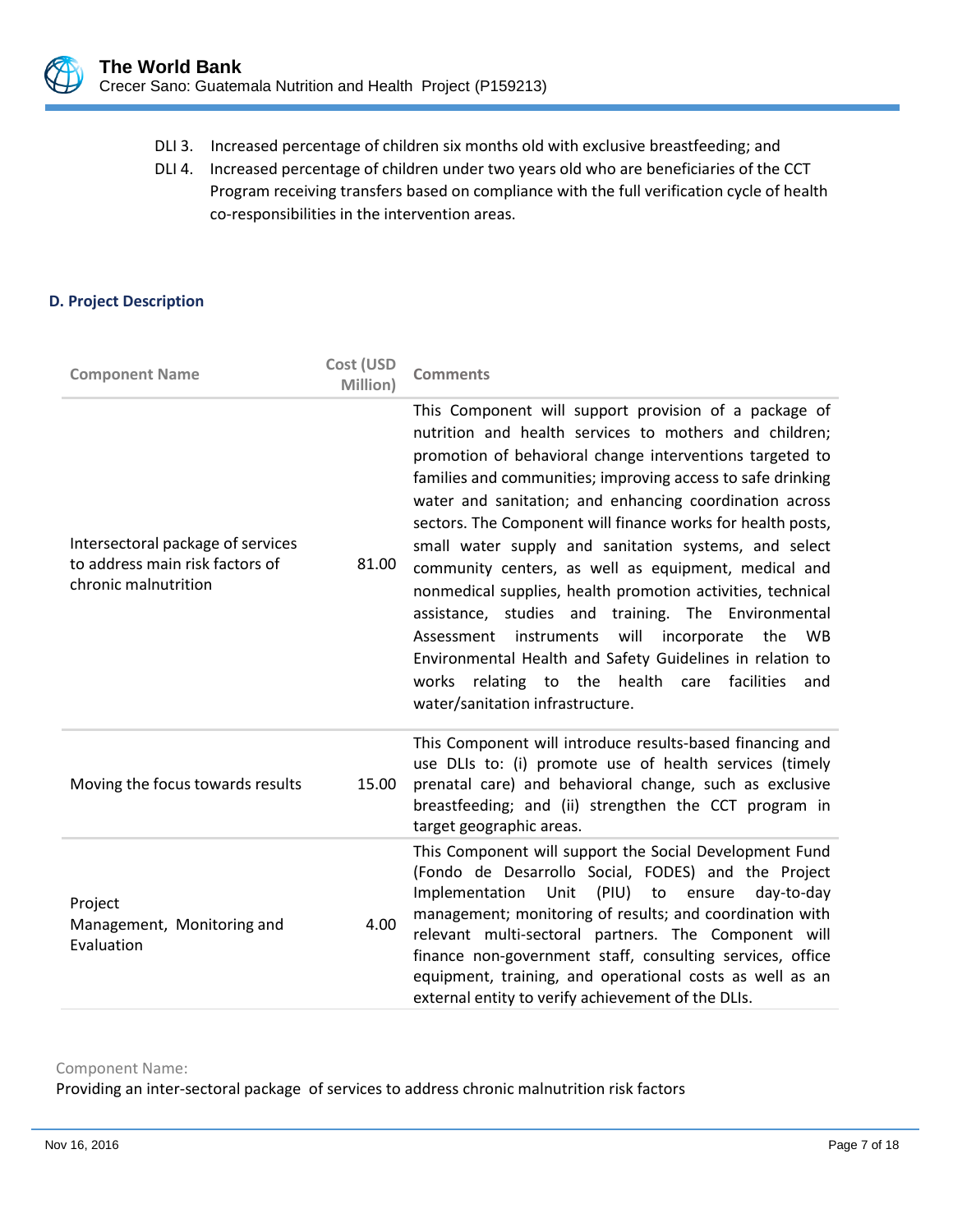

- DLI 3. Increased percentage of children six months old with exclusive breastfeeding; and
- DLI 4. Increased percentage of children under two years old who are beneficiaries of the CCT Program receiving transfers based on compliance with the full verification cycle of health co-responsibilities in the intervention areas.

## **D. Project Description**

| <b>Component Name</b>                                                                        | Cost (USD<br>Million) | <b>Comments</b>                                                                                                                                                                                                                                                                                                                                                                                                                                                                                                                                                                                                                                                                                                                                                                                                                    |
|----------------------------------------------------------------------------------------------|-----------------------|------------------------------------------------------------------------------------------------------------------------------------------------------------------------------------------------------------------------------------------------------------------------------------------------------------------------------------------------------------------------------------------------------------------------------------------------------------------------------------------------------------------------------------------------------------------------------------------------------------------------------------------------------------------------------------------------------------------------------------------------------------------------------------------------------------------------------------|
| Intersectoral package of services<br>to address main risk factors of<br>chronic malnutrition | 81.00                 | This Component will support provision of a package of<br>nutrition and health services to mothers and children;<br>promotion of behavioral change interventions targeted to<br>families and communities; improving access to safe drinking<br>water and sanitation; and enhancing coordination across<br>sectors. The Component will finance works for health posts,<br>small water supply and sanitation systems, and select<br>community centers, as well as equipment, medical and<br>nonmedical supplies, health promotion activities, technical<br>assistance, studies and training. The Environmental<br>instruments will<br>incorporate<br>Assessment<br>the<br>WB.<br>Environmental Health and Safety Guidelines in relation to<br>works relating to the health care facilities<br>and<br>water/sanitation infrastructure. |
| Moving the focus towards results                                                             | 15.00                 | This Component will introduce results-based financing and<br>use DLIs to: (i) promote use of health services (timely<br>prenatal care) and behavioral change, such as exclusive<br>breastfeeding; and (ii) strengthen the CCT program in<br>target geographic areas.                                                                                                                                                                                                                                                                                                                                                                                                                                                                                                                                                               |
| Project<br>Management, Monitoring and<br>Evaluation                                          | 4.00                  | This Component will support the Social Development Fund<br>(Fondo de Desarrollo Social, FODES) and the Project<br>Implementation<br>Unit<br>(PIU)<br>to ensure<br>day-to-day<br>management; monitoring of results; and coordination with<br>relevant multi-sectoral partners. The Component will<br>finance non-government staff, consulting services, office<br>equipment, training, and operational costs as well as an<br>external entity to verify achievement of the DLIs.                                                                                                                                                                                                                                                                                                                                                    |

Component Name:

Providing an inter-sectoral package of services to address chronic malnutrition risk factors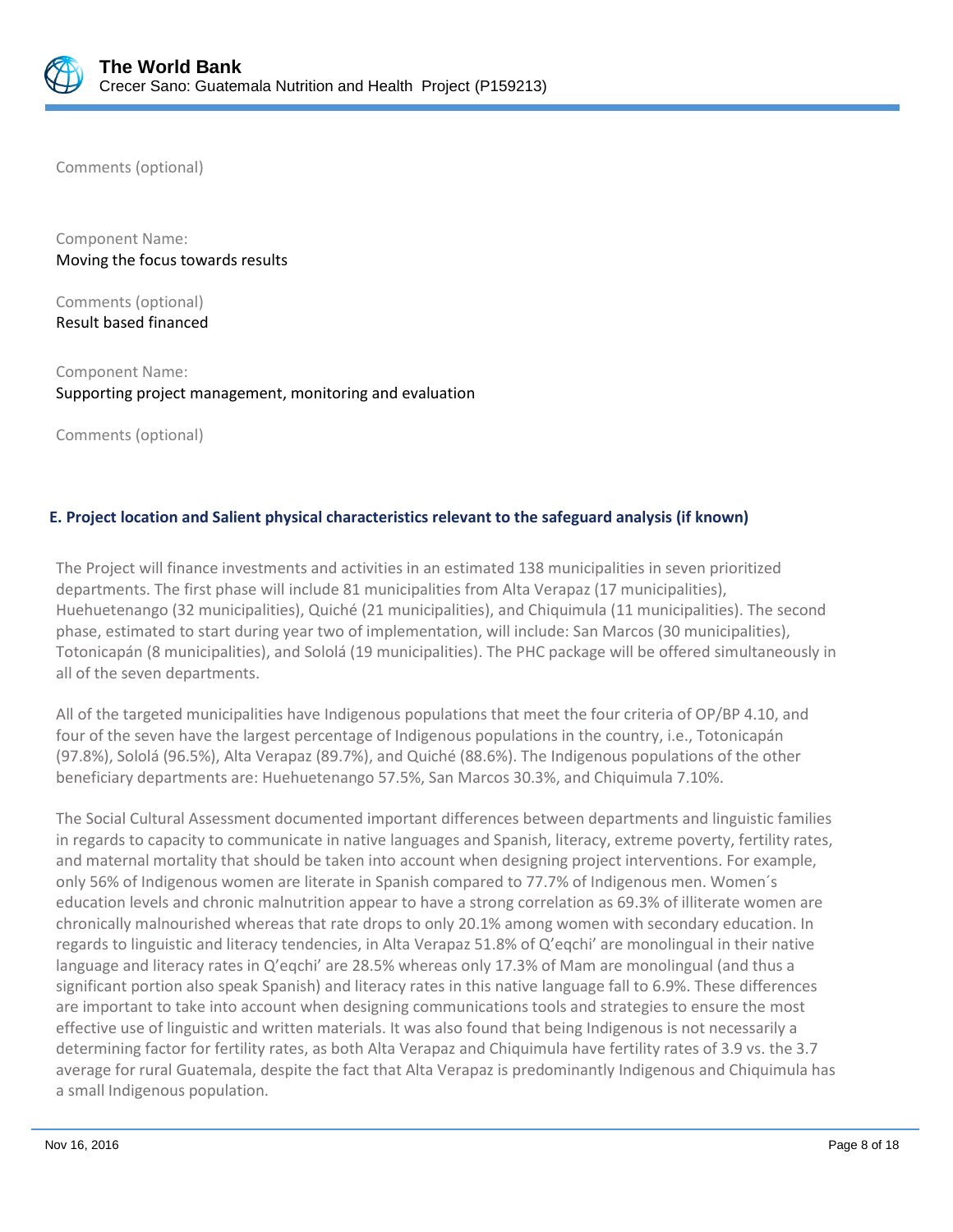

Comments (optional)

Component Name: Moving the focus towards results

Comments (optional) Result based financed

Component Name: Supporting project management, monitoring and evaluation

Comments (optional)

## **E. Project location and Salient physical characteristics relevant to the safeguard analysis (if known)**

The Project will finance investments and activities in an estimated 138 municipalities in seven prioritized departments. The first phase will include 81 municipalities from Alta Verapaz (17 municipalities), Huehuetenango (32 municipalities), Quiché (21 municipalities), and Chiquimula (11 municipalities). The second phase, estimated to start during year two of implementation, will include: San Marcos (30 municipalities), Totonicapán (8 municipalities), and Sololá (19 municipalities). The PHC package will be offered simultaneously in all of the seven departments.

All of the targeted municipalities have Indigenous populations that meet the four criteria of OP/BP 4.10, and four of the seven have the largest percentage of Indigenous populations in the country, i.e., Totonicapán (97.8%), Sololá (96.5%), Alta Verapaz (89.7%), and Quiché (88.6%). The Indigenous populations of the other beneficiary departments are: Huehuetenango 57.5%, San Marcos 30.3%, and Chiquimula 7.10%.

The Social Cultural Assessment documented important differences between departments and linguistic families in regards to capacity to communicate in native languages and Spanish, literacy, extreme poverty, fertility rates, and maternal mortality that should be taken into account when designing project interventions. For example, only 56% of Indigenous women are literate in Spanish compared to 77.7% of Indigenous men. Women´s education levels and chronic malnutrition appear to have a strong correlation as 69.3% of illiterate women are chronically malnourished whereas that rate drops to only 20.1% among women with secondary education. In regards to linguistic and literacy tendencies, in Alta Verapaz 51.8% of Q'eqchi' are monolingual in their native language and literacy rates in Q'eqchi' are 28.5% whereas only 17.3% of Mam are monolingual (and thus a significant portion also speak Spanish) and literacy rates in this native language fall to 6.9%. These differences are important to take into account when designing communications tools and strategies to ensure the most effective use of linguistic and written materials. It was also found that being Indigenous is not necessarily a determining factor for fertility rates, as both Alta Verapaz and Chiquimula have fertility rates of 3.9 vs. the 3.7 average for rural Guatemala, despite the fact that Alta Verapaz is predominantly Indigenous and Chiquimula has a small Indigenous population.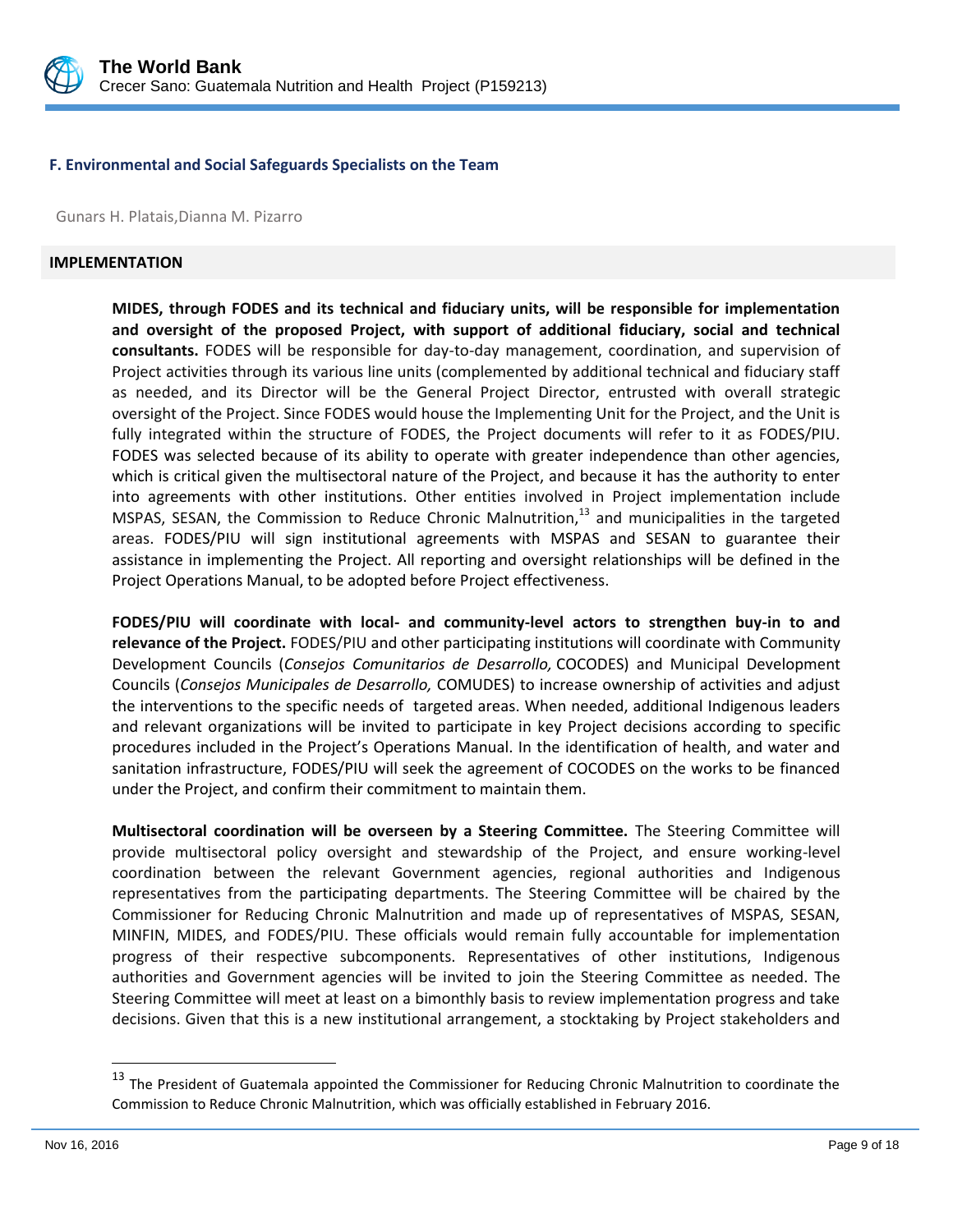

#### **F. Environmental and Social Safeguards Specialists on the Team**

Gunars H. Platais,Dianna M. Pizarro

#### **IMPLEMENTATION**

**MIDES, through FODES and its technical and fiduciary units, will be responsible for implementation and oversight of the proposed Project, with support of additional fiduciary, social and technical consultants.** FODES will be responsible for day-to-day management, coordination, and supervision of Project activities through its various line units (complemented by additional technical and fiduciary staff as needed, and its Director will be the General Project Director, entrusted with overall strategic oversight of the Project. Since FODES would house the Implementing Unit for the Project, and the Unit is fully integrated within the structure of FODES, the Project documents will refer to it as FODES/PIU. FODES was selected because of its ability to operate with greater independence than other agencies, which is critical given the multisectoral nature of the Project, and because it has the authority to enter into agreements with other institutions. Other entities involved in Project implementation include MSPAS, SESAN, the Commission to Reduce Chronic Malnutrition,<sup>13</sup> and municipalities in the targeted areas. FODES/PIU will sign institutional agreements with MSPAS and SESAN to guarantee their assistance in implementing the Project. All reporting and oversight relationships will be defined in the Project Operations Manual, to be adopted before Project effectiveness.

**FODES/PIU will coordinate with local- and community-level actors to strengthen buy-in to and relevance of the Project.** FODES/PIU and other participating institutions will coordinate with Community Development Councils (*Consejos Comunitarios de Desarrollo,* COCODES) and Municipal Development Councils (*Consejos Municipales de Desarrollo,* COMUDES) to increase ownership of activities and adjust the interventions to the specific needs of targeted areas. When needed, additional Indigenous leaders and relevant organizations will be invited to participate in key Project decisions according to specific procedures included in the Project's Operations Manual. In the identification of health, and water and sanitation infrastructure, FODES/PIU will seek the agreement of COCODES on the works to be financed under the Project, and confirm their commitment to maintain them.

**Multisectoral coordination will be overseen by a Steering Committee.** The Steering Committee will provide multisectoral policy oversight and stewardship of the Project, and ensure working-level coordination between the relevant Government agencies, regional authorities and Indigenous representatives from the participating departments. The Steering Committee will be chaired by the Commissioner for Reducing Chronic Malnutrition and made up of representatives of MSPAS, SESAN, MINFIN, MIDES, and FODES/PIU. These officials would remain fully accountable for implementation progress of their respective subcomponents. Representatives of other institutions, Indigenous authorities and Government agencies will be invited to join the Steering Committee as needed. The Steering Committee will meet at least on a bimonthly basis to review implementation progress and take decisions. Given that this is a new institutional arrangement, a stocktaking by Project stakeholders and

 $\overline{a}$ 

<sup>&</sup>lt;sup>13</sup> The President of Guatemala appointed the Commissioner for Reducing Chronic Malnutrition to coordinate the Commission to Reduce Chronic Malnutrition, which was officially established in February 2016.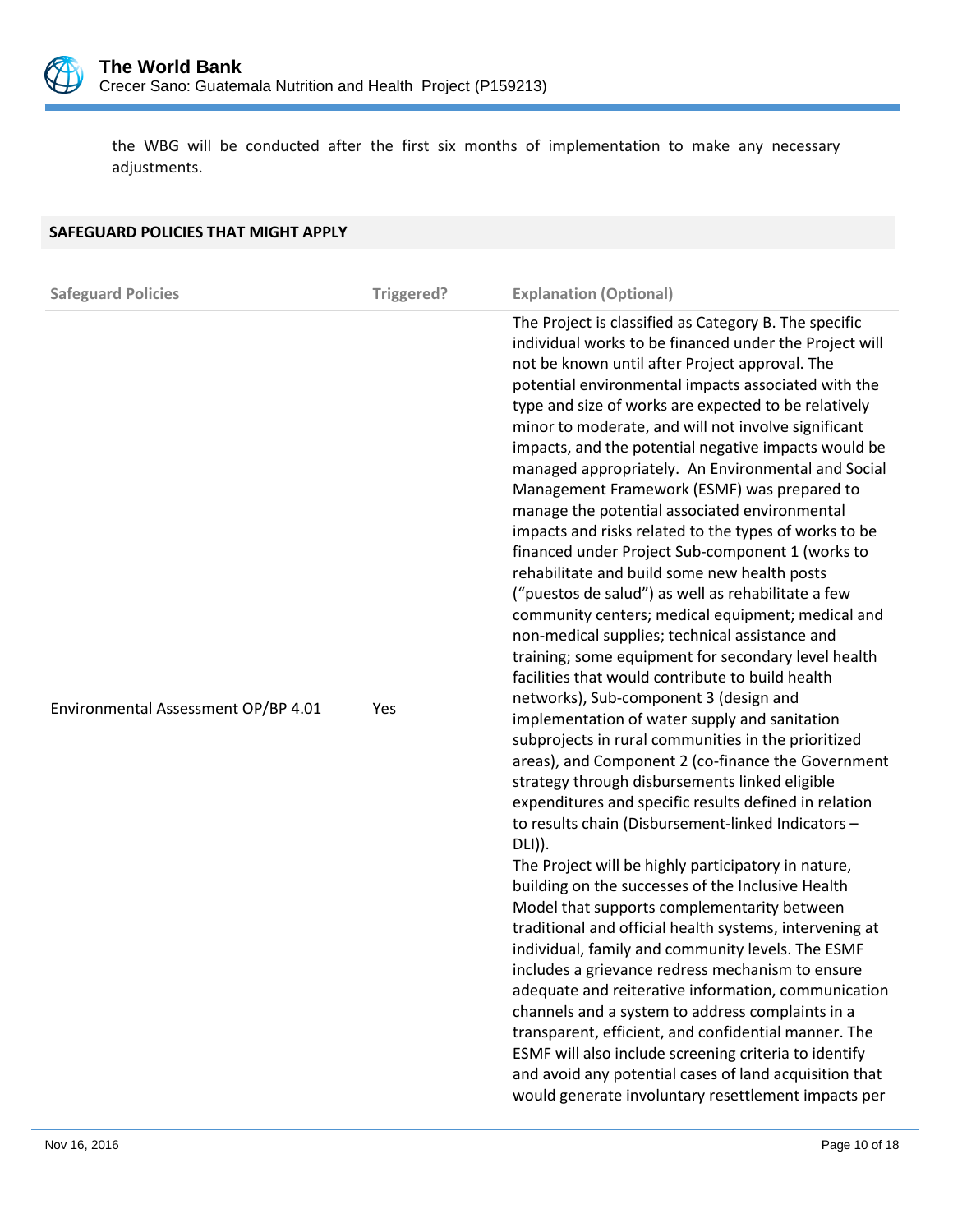

the WBG will be conducted after the first six months of implementation to make any necessary adjustments.

| SAFEGUARD POLICIES THAT MIGHT APPLY |            |                                                                                                                                                                                                                                                                                                                                                                                                                                                                                                                                                                                                                                                                                                                                                                                                                                                                                                                                                                                                                                                                                                                                                                                                                                                                                                                                                                                                                                                                                                                                                                                                                                                                                                                                                                                                                                                                                                                                                                                                                                                           |
|-------------------------------------|------------|-----------------------------------------------------------------------------------------------------------------------------------------------------------------------------------------------------------------------------------------------------------------------------------------------------------------------------------------------------------------------------------------------------------------------------------------------------------------------------------------------------------------------------------------------------------------------------------------------------------------------------------------------------------------------------------------------------------------------------------------------------------------------------------------------------------------------------------------------------------------------------------------------------------------------------------------------------------------------------------------------------------------------------------------------------------------------------------------------------------------------------------------------------------------------------------------------------------------------------------------------------------------------------------------------------------------------------------------------------------------------------------------------------------------------------------------------------------------------------------------------------------------------------------------------------------------------------------------------------------------------------------------------------------------------------------------------------------------------------------------------------------------------------------------------------------------------------------------------------------------------------------------------------------------------------------------------------------------------------------------------------------------------------------------------------------|
|                                     |            |                                                                                                                                                                                                                                                                                                                                                                                                                                                                                                                                                                                                                                                                                                                                                                                                                                                                                                                                                                                                                                                                                                                                                                                                                                                                                                                                                                                                                                                                                                                                                                                                                                                                                                                                                                                                                                                                                                                                                                                                                                                           |
| <b>Safeguard Policies</b>           | Triggered? | <b>Explanation (Optional)</b>                                                                                                                                                                                                                                                                                                                                                                                                                                                                                                                                                                                                                                                                                                                                                                                                                                                                                                                                                                                                                                                                                                                                                                                                                                                                                                                                                                                                                                                                                                                                                                                                                                                                                                                                                                                                                                                                                                                                                                                                                             |
| Environmental Assessment OP/BP 4.01 | Yes        | The Project is classified as Category B. The specific<br>individual works to be financed under the Project will<br>not be known until after Project approval. The<br>potential environmental impacts associated with the<br>type and size of works are expected to be relatively<br>minor to moderate, and will not involve significant<br>impacts, and the potential negative impacts would be<br>managed appropriately. An Environmental and Social<br>Management Framework (ESMF) was prepared to<br>manage the potential associated environmental<br>impacts and risks related to the types of works to be<br>financed under Project Sub-component 1 (works to<br>rehabilitate and build some new health posts<br>("puestos de salud") as well as rehabilitate a few<br>community centers; medical equipment; medical and<br>non-medical supplies; technical assistance and<br>training; some equipment for secondary level health<br>facilities that would contribute to build health<br>networks), Sub-component 3 (design and<br>implementation of water supply and sanitation<br>subprojects in rural communities in the prioritized<br>areas), and Component 2 (co-finance the Government<br>strategy through disbursements linked eligible<br>expenditures and specific results defined in relation<br>to results chain (Disbursement-linked Indicators -<br>DLI)).<br>The Project will be highly participatory in nature,<br>building on the successes of the Inclusive Health<br>Model that supports complementarity between<br>traditional and official health systems, intervening at<br>individual, family and community levels. The ESMF<br>includes a grievance redress mechanism to ensure<br>adequate and reiterative information, communication<br>channels and a system to address complaints in a<br>transparent, efficient, and confidential manner. The<br>ESMF will also include screening criteria to identify<br>and avoid any potential cases of land acquisition that<br>would generate involuntary resettlement impacts per |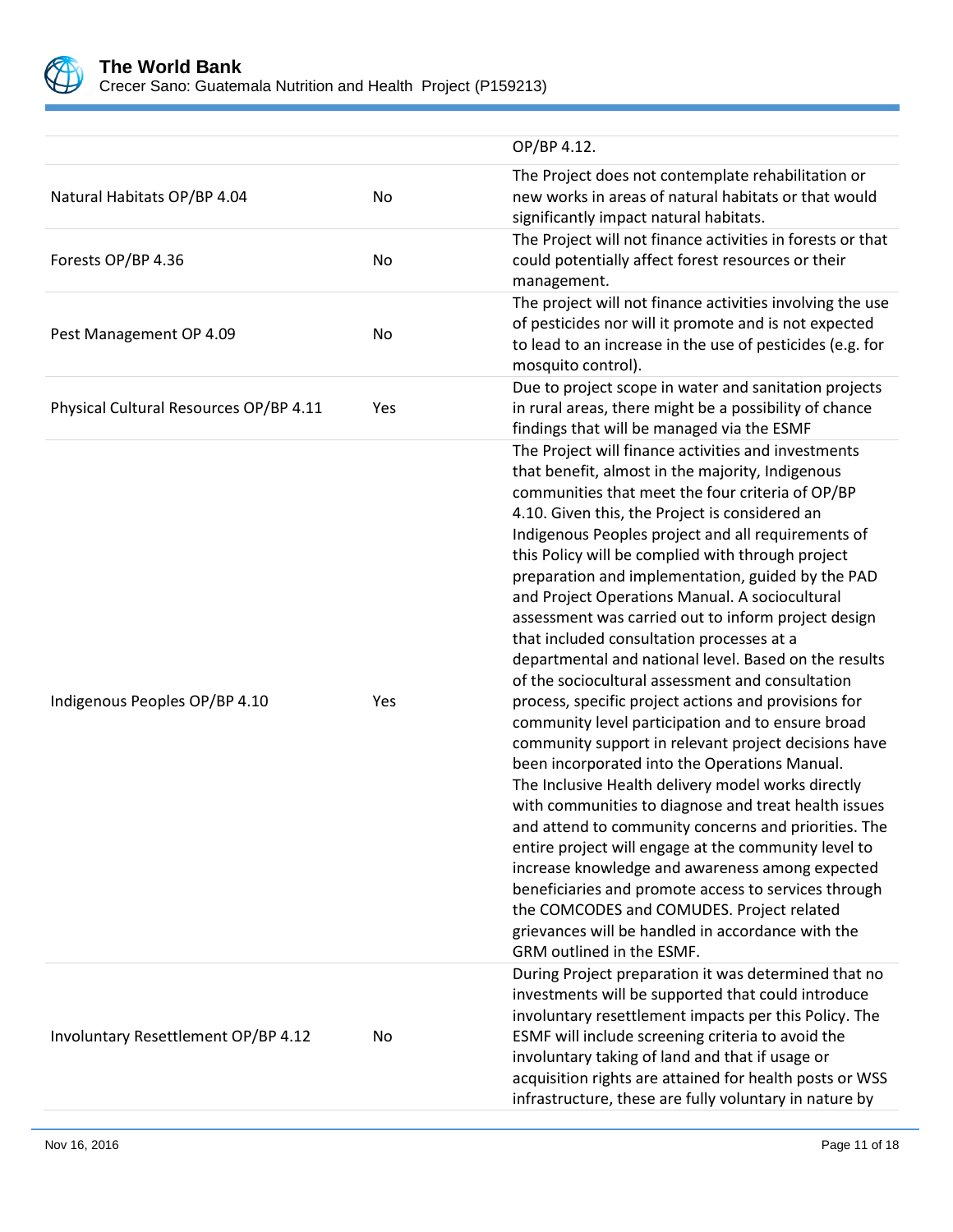

|                                        |     | OP/BP 4.12.                                                                                                                                                                                                                                                                                                                                                                                                                                                                                                                                                                                                                                                                                                                                                                                                                                                                                                                                                                                                                                                                                                                                                                                                                                                                                                                                    |
|----------------------------------------|-----|------------------------------------------------------------------------------------------------------------------------------------------------------------------------------------------------------------------------------------------------------------------------------------------------------------------------------------------------------------------------------------------------------------------------------------------------------------------------------------------------------------------------------------------------------------------------------------------------------------------------------------------------------------------------------------------------------------------------------------------------------------------------------------------------------------------------------------------------------------------------------------------------------------------------------------------------------------------------------------------------------------------------------------------------------------------------------------------------------------------------------------------------------------------------------------------------------------------------------------------------------------------------------------------------------------------------------------------------|
| Natural Habitats OP/BP 4.04            | No  | The Project does not contemplate rehabilitation or<br>new works in areas of natural habitats or that would<br>significantly impact natural habitats.                                                                                                                                                                                                                                                                                                                                                                                                                                                                                                                                                                                                                                                                                                                                                                                                                                                                                                                                                                                                                                                                                                                                                                                           |
| Forests OP/BP 4.36                     | No  | The Project will not finance activities in forests or that<br>could potentially affect forest resources or their<br>management.                                                                                                                                                                                                                                                                                                                                                                                                                                                                                                                                                                                                                                                                                                                                                                                                                                                                                                                                                                                                                                                                                                                                                                                                                |
| Pest Management OP 4.09                | No  | The project will not finance activities involving the use<br>of pesticides nor will it promote and is not expected<br>to lead to an increase in the use of pesticides (e.g. for<br>mosquito control).                                                                                                                                                                                                                                                                                                                                                                                                                                                                                                                                                                                                                                                                                                                                                                                                                                                                                                                                                                                                                                                                                                                                          |
| Physical Cultural Resources OP/BP 4.11 | Yes | Due to project scope in water and sanitation projects<br>in rural areas, there might be a possibility of chance<br>findings that will be managed via the ESMF                                                                                                                                                                                                                                                                                                                                                                                                                                                                                                                                                                                                                                                                                                                                                                                                                                                                                                                                                                                                                                                                                                                                                                                  |
| Indigenous Peoples OP/BP 4.10          | Yes | The Project will finance activities and investments<br>that benefit, almost in the majority, Indigenous<br>communities that meet the four criteria of OP/BP<br>4.10. Given this, the Project is considered an<br>Indigenous Peoples project and all requirements of<br>this Policy will be complied with through project<br>preparation and implementation, guided by the PAD<br>and Project Operations Manual. A sociocultural<br>assessment was carried out to inform project design<br>that included consultation processes at a<br>departmental and national level. Based on the results<br>of the sociocultural assessment and consultation<br>process, specific project actions and provisions for<br>community level participation and to ensure broad<br>community support in relevant project decisions have<br>been incorporated into the Operations Manual.<br>The Inclusive Health delivery model works directly<br>with communities to diagnose and treat health issues<br>and attend to community concerns and priorities. The<br>entire project will engage at the community level to<br>increase knowledge and awareness among expected<br>beneficiaries and promote access to services through<br>the COMCODES and COMUDES. Project related<br>grievances will be handled in accordance with the<br>GRM outlined in the ESMF. |
| Involuntary Resettlement OP/BP 4.12    | No  | During Project preparation it was determined that no<br>investments will be supported that could introduce<br>involuntary resettlement impacts per this Policy. The<br>ESMF will include screening criteria to avoid the<br>involuntary taking of land and that if usage or<br>acquisition rights are attained for health posts or WSS<br>infrastructure, these are fully voluntary in nature by                                                                                                                                                                                                                                                                                                                                                                                                                                                                                                                                                                                                                                                                                                                                                                                                                                                                                                                                               |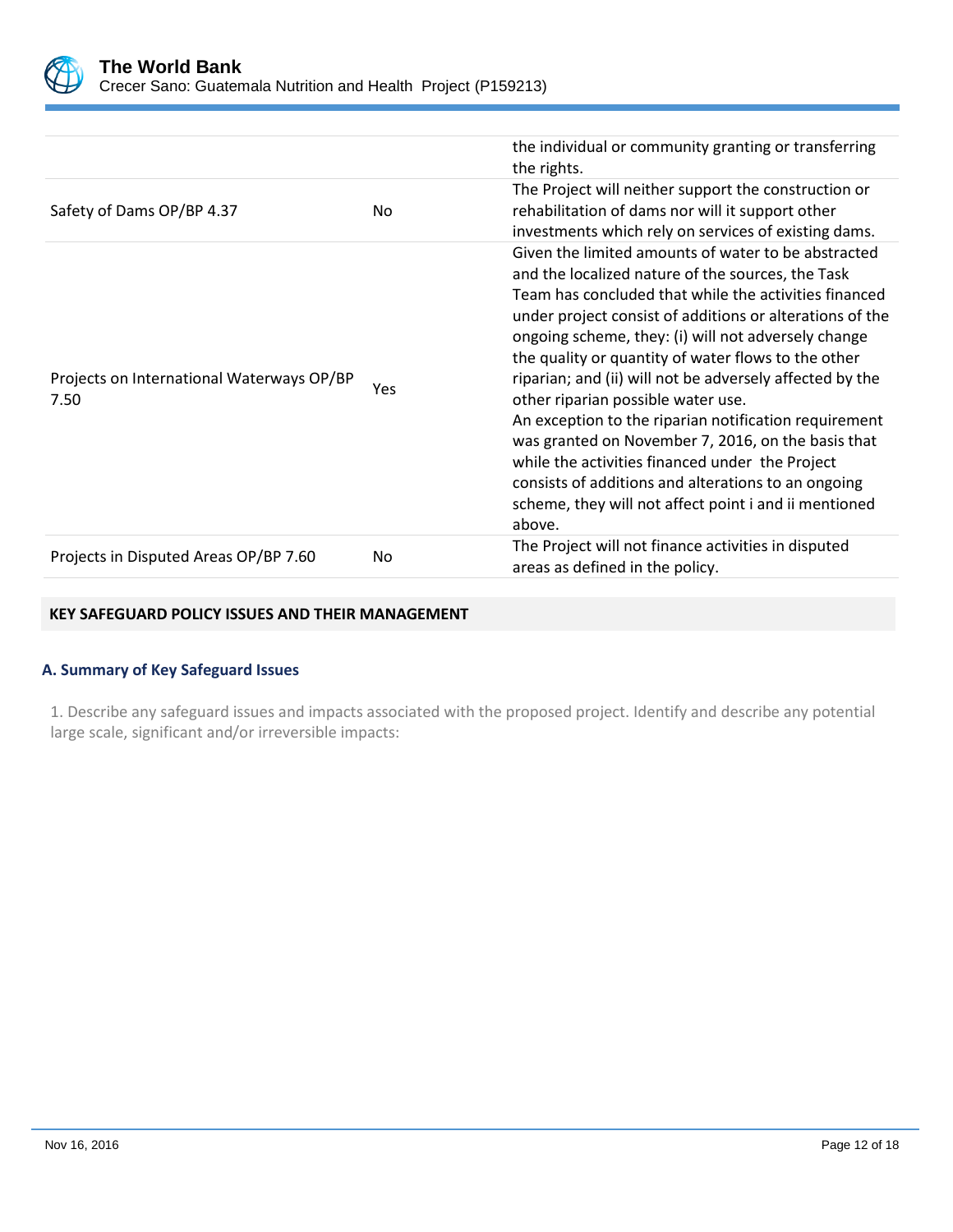

|                                                   |     | the individual or community granting or transferring<br>the rights.                                                                                                                                                                                                                                                                                                                                                                                                                                                                                                                                                                                                                                                                       |
|---------------------------------------------------|-----|-------------------------------------------------------------------------------------------------------------------------------------------------------------------------------------------------------------------------------------------------------------------------------------------------------------------------------------------------------------------------------------------------------------------------------------------------------------------------------------------------------------------------------------------------------------------------------------------------------------------------------------------------------------------------------------------------------------------------------------------|
| Safety of Dams OP/BP 4.37                         | No. | The Project will neither support the construction or<br>rehabilitation of dams nor will it support other<br>investments which rely on services of existing dams.                                                                                                                                                                                                                                                                                                                                                                                                                                                                                                                                                                          |
| Projects on International Waterways OP/BP<br>7.50 | Yes | Given the limited amounts of water to be abstracted<br>and the localized nature of the sources, the Task<br>Team has concluded that while the activities financed<br>under project consist of additions or alterations of the<br>ongoing scheme, they: (i) will not adversely change<br>the quality or quantity of water flows to the other<br>riparian; and (ii) will not be adversely affected by the<br>other riparian possible water use.<br>An exception to the riparian notification requirement<br>was granted on November 7, 2016, on the basis that<br>while the activities financed under the Project<br>consists of additions and alterations to an ongoing<br>scheme, they will not affect point i and ii mentioned<br>above. |
| Projects in Disputed Areas OP/BP 7.60             | No. | The Project will not finance activities in disputed<br>areas as defined in the policy.                                                                                                                                                                                                                                                                                                                                                                                                                                                                                                                                                                                                                                                    |

## **KEY SAFEGUARD POLICY ISSUES AND THEIR MANAGEMENT**

## **A. Summary of Key Safeguard Issues**

1. Describe any safeguard issues and impacts associated with the proposed project. Identify and describe any potential large scale, significant and/or irreversible impacts: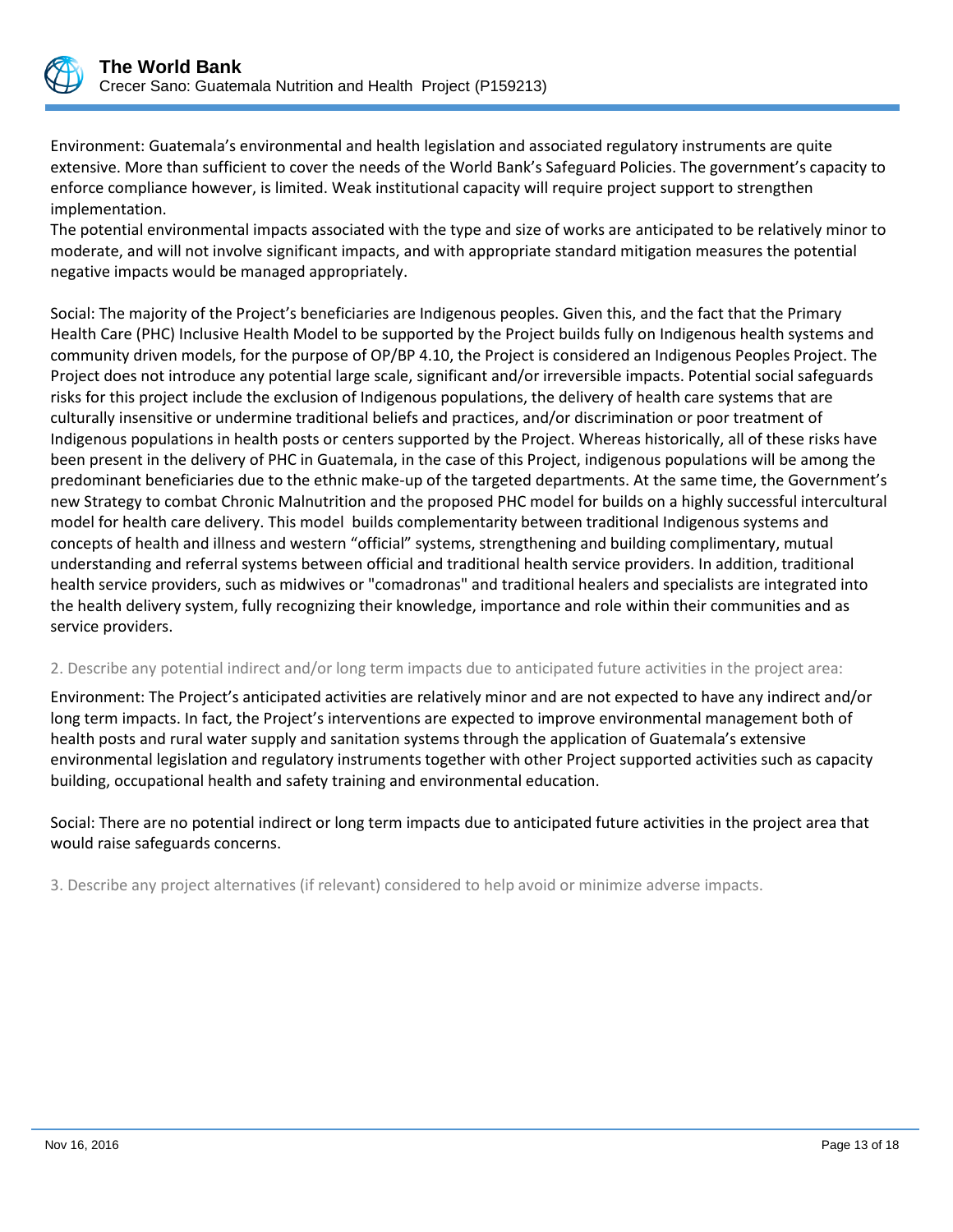

Environment: Guatemala's environmental and health legislation and associated regulatory instruments are quite extensive. More than sufficient to cover the needs of the World Bank's Safeguard Policies. The government's capacity to enforce compliance however, is limited. Weak institutional capacity will require project support to strengthen implementation.

The potential environmental impacts associated with the type and size of works are anticipated to be relatively minor to moderate, and will not involve significant impacts, and with appropriate standard mitigation measures the potential negative impacts would be managed appropriately.

Social: The majority of the Project's beneficiaries are Indigenous peoples. Given this, and the fact that the Primary Health Care (PHC) Inclusive Health Model to be supported by the Project builds fully on Indigenous health systems and community driven models, for the purpose of OP/BP 4.10, the Project is considered an Indigenous Peoples Project. The Project does not introduce any potential large scale, significant and/or irreversible impacts. Potential social safeguards risks for this project include the exclusion of Indigenous populations, the delivery of health care systems that are culturally insensitive or undermine traditional beliefs and practices, and/or discrimination or poor treatment of Indigenous populations in health posts or centers supported by the Project. Whereas historically, all of these risks have been present in the delivery of PHC in Guatemala, in the case of this Project, indigenous populations will be among the predominant beneficiaries due to the ethnic make-up of the targeted departments. At the same time, the Government's new Strategy to combat Chronic Malnutrition and the proposed PHC model for builds on a highly successful intercultural model for health care delivery. This model builds complementarity between traditional Indigenous systems and concepts of health and illness and western "official" systems, strengthening and building complimentary, mutual understanding and referral systems between official and traditional health service providers. In addition, traditional health service providers, such as midwives or "comadronas" and traditional healers and specialists are integrated into the health delivery system, fully recognizing their knowledge, importance and role within their communities and as service providers.

## 2. Describe any potential indirect and/or long term impacts due to anticipated future activities in the project area:

Environment: The Project's anticipated activities are relatively minor and are not expected to have any indirect and/or long term impacts. In fact, the Project's interventions are expected to improve environmental management both of health posts and rural water supply and sanitation systems through the application of Guatemala's extensive environmental legislation and regulatory instruments together with other Project supported activities such as capacity building, occupational health and safety training and environmental education.

Social: There are no potential indirect or long term impacts due to anticipated future activities in the project area that would raise safeguards concerns.

3. Describe any project alternatives (if relevant) considered to help avoid or minimize adverse impacts.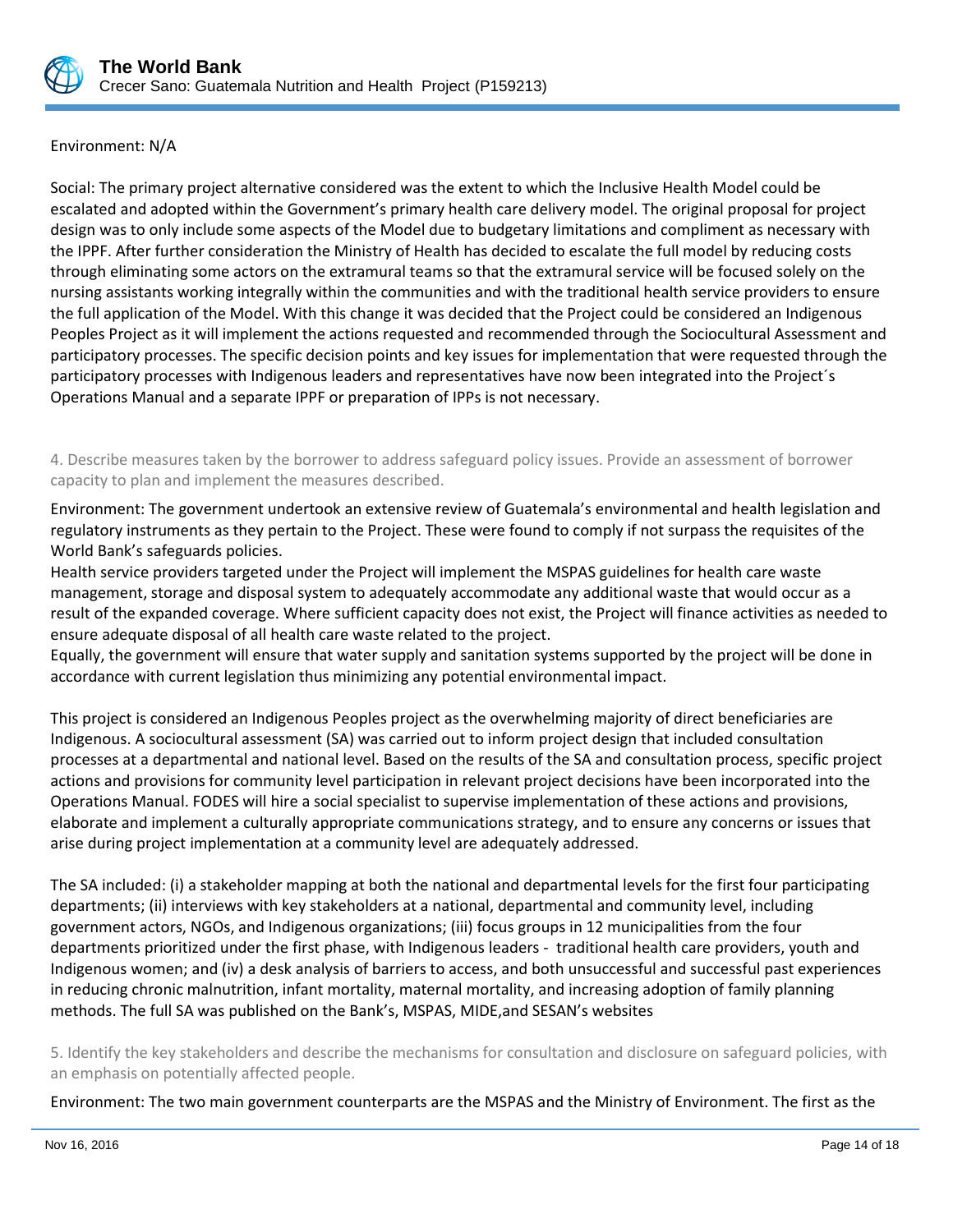

## Environment: N/A

Social: The primary project alternative considered was the extent to which the Inclusive Health Model could be escalated and adopted within the Government's primary health care delivery model. The original proposal for project design was to only include some aspects of the Model due to budgetary limitations and compliment as necessary with the IPPF. After further consideration the Ministry of Health has decided to escalate the full model by reducing costs through eliminating some actors on the extramural teams so that the extramural service will be focused solely on the nursing assistants working integrally within the communities and with the traditional health service providers to ensure the full application of the Model. With this change it was decided that the Project could be considered an Indigenous Peoples Project as it will implement the actions requested and recommended through the Sociocultural Assessment and participatory processes. The specific decision points and key issues for implementation that were requested through the participatory processes with Indigenous leaders and representatives have now been integrated into the Project´s Operations Manual and a separate IPPF or preparation of IPPs is not necessary.

4. Describe measures taken by the borrower to address safeguard policy issues. Provide an assessment of borrower capacity to plan and implement the measures described.

Environment: The government undertook an extensive review of Guatemala's environmental and health legislation and regulatory instruments as they pertain to the Project. These were found to comply if not surpass the requisites of the World Bank's safeguards policies.

Health service providers targeted under the Project will implement the MSPAS guidelines for health care waste management, storage and disposal system to adequately accommodate any additional waste that would occur as a result of the expanded coverage. Where sufficient capacity does not exist, the Project will finance activities as needed to ensure adequate disposal of all health care waste related to the project.

Equally, the government will ensure that water supply and sanitation systems supported by the project will be done in accordance with current legislation thus minimizing any potential environmental impact.

This project is considered an Indigenous Peoples project as the overwhelming majority of direct beneficiaries are Indigenous. A sociocultural assessment (SA) was carried out to inform project design that included consultation processes at a departmental and national level. Based on the results of the SA and consultation process, specific project actions and provisions for community level participation in relevant project decisions have been incorporated into the Operations Manual. FODES will hire a social specialist to supervise implementation of these actions and provisions, elaborate and implement a culturally appropriate communications strategy, and to ensure any concerns or issues that arise during project implementation at a community level are adequately addressed.

The SA included: (i) a stakeholder mapping at both the national and departmental levels for the first four participating departments; (ii) interviews with key stakeholders at a national, departmental and community level, including government actors, NGOs, and Indigenous organizations; (iii) focus groups in 12 municipalities from the four departments prioritized under the first phase, with Indigenous leaders - traditional health care providers, youth and Indigenous women; and (iv) a desk analysis of barriers to access, and both unsuccessful and successful past experiences in reducing chronic malnutrition, infant mortality, maternal mortality, and increasing adoption of family planning methods. The full SA was published on the Bank's, MSPAS, MIDE,and SESAN's websites

5. Identify the key stakeholders and describe the mechanisms for consultation and disclosure on safeguard policies, with an emphasis on potentially affected people.

Environment: The two main government counterparts are the MSPAS and the Ministry of Environment. The first as the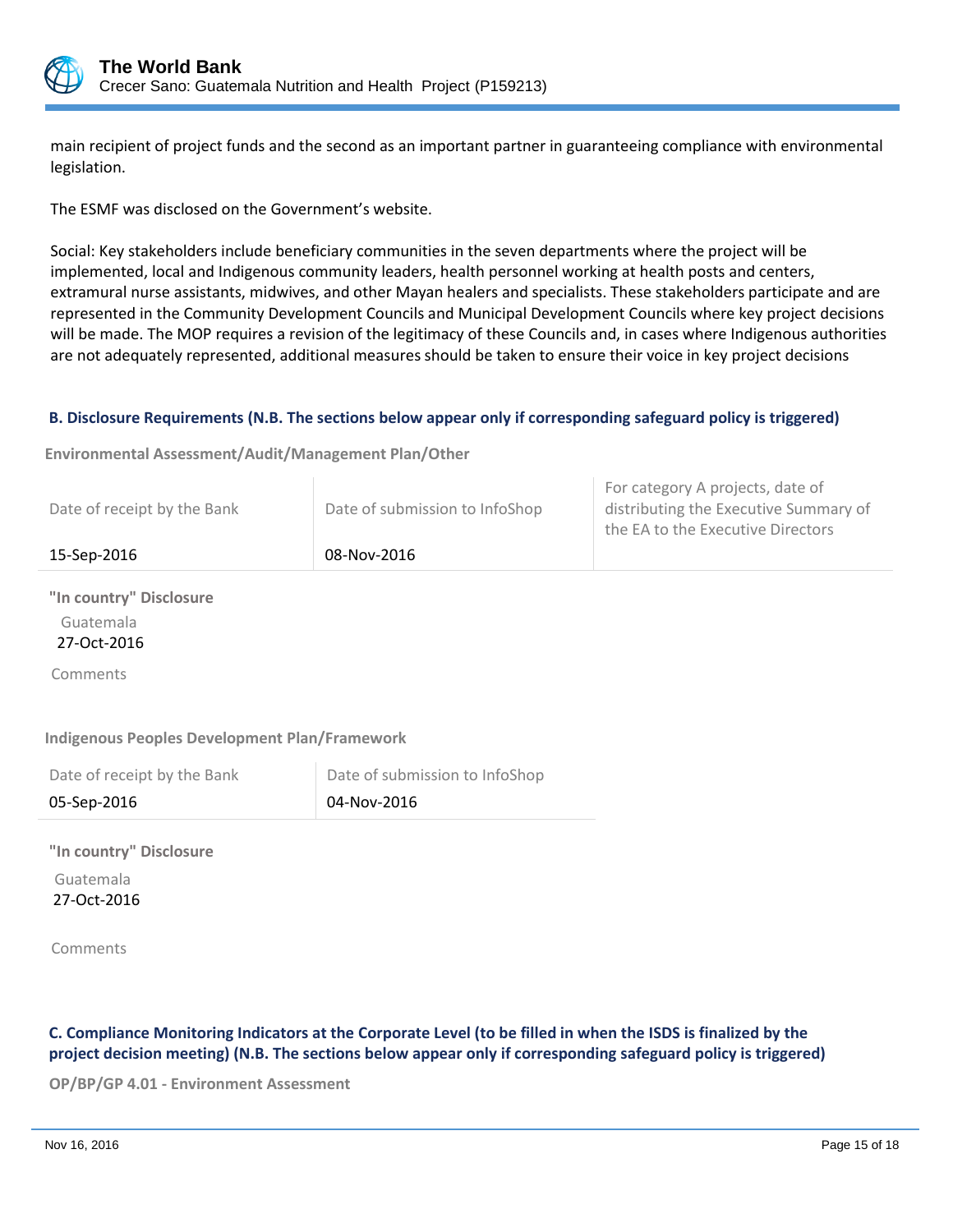

main recipient of project funds and the second as an important partner in guaranteeing compliance with environmental legislation.

The ESMF was disclosed on the Government's website.

Social: Key stakeholders include beneficiary communities in the seven departments where the project will be implemented, local and Indigenous community leaders, health personnel working at health posts and centers, extramural nurse assistants, midwives, and other Mayan healers and specialists. These stakeholders participate and are represented in the Community Development Councils and Municipal Development Councils where key project decisions will be made. The MOP requires a revision of the legitimacy of these Councils and, in cases where Indigenous authorities are not adequately represented, additional measures should be taken to ensure their voice in key project decisions

## **B. Disclosure Requirements (N.B. The sections below appear only if corresponding safeguard policy is triggered)**

**Environmental Assessment/Audit/Management Plan/Other**

| 15-Sep-2016                 | 08-Nov-2016                    |                                                                                                                |
|-----------------------------|--------------------------------|----------------------------------------------------------------------------------------------------------------|
| Date of receipt by the Bank | Date of submission to InfoShop | For category A projects, date of<br>distributing the Executive Summary of<br>the EA to the Executive Directors |

**"In country" Disclosure** Guatemala

27-Oct-2016

Comments

**Indigenous Peoples Development Plan/Framework**

| Date of receipt by the Bank | Date of submission to InfoShop |
|-----------------------------|--------------------------------|
| 05-Sep-2016                 | $\vert$ 04-Nov-2016            |

**"In country" Disclosure** Guatemala 27-Oct-2016

Comments

**C. Compliance Monitoring Indicators at the Corporate Level (to be filled in when the ISDS is finalized by the project decision meeting) (N.B. The sections below appear only if corresponding safeguard policy is triggered)**

**OP/BP/GP 4.01 - Environment Assessment**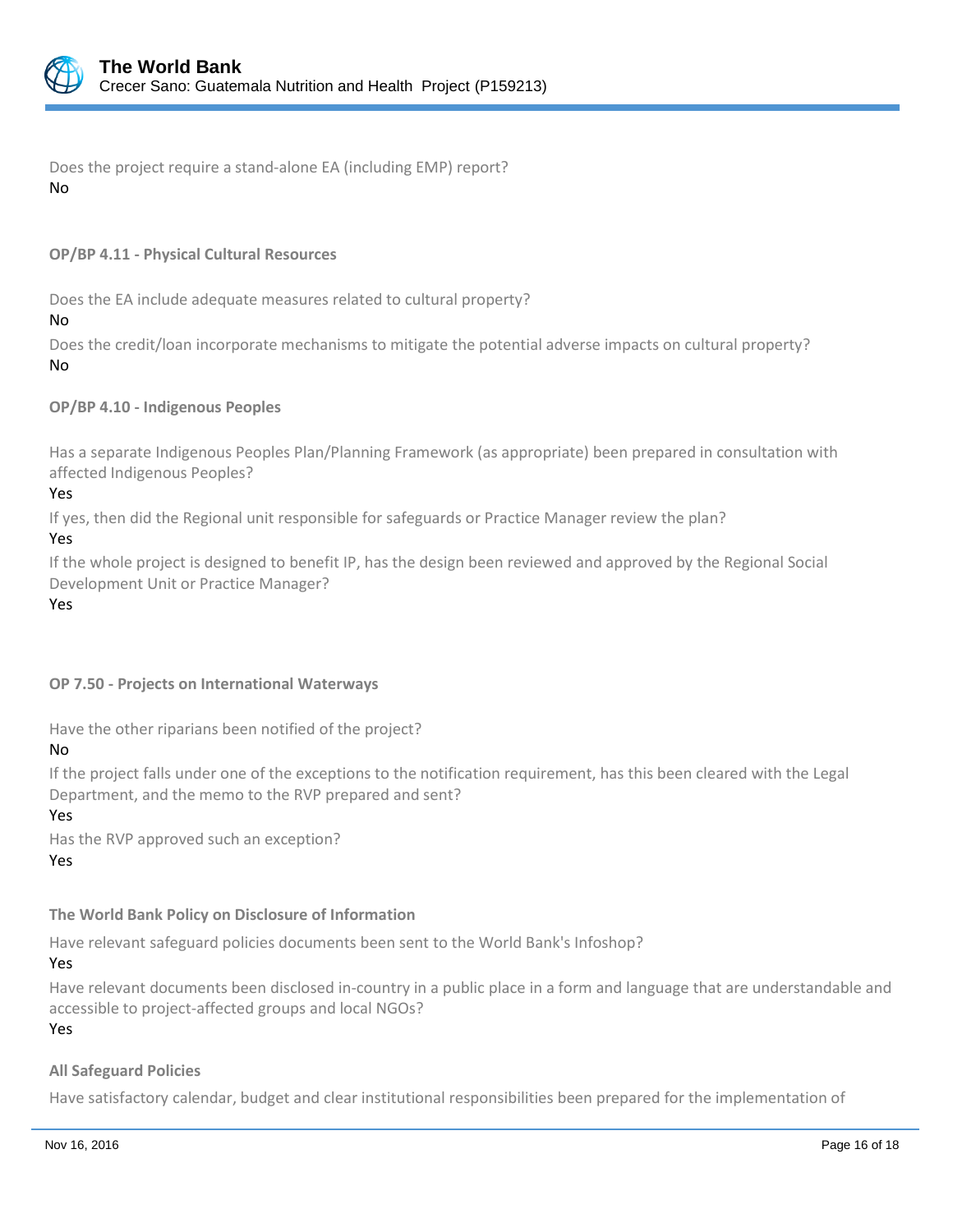

Does the project require a stand-alone EA (including EMP) report? No

## **OP/BP 4.11 - Physical Cultural Resources**

Does the EA include adequate measures related to cultural property?

No

Does the credit/loan incorporate mechanisms to mitigate the potential adverse impacts on cultural property? No

**OP/BP 4.10 - Indigenous Peoples**

Has a separate Indigenous Peoples Plan/Planning Framework (as appropriate) been prepared in consultation with affected Indigenous Peoples?

Yes

If yes, then did the Regional unit responsible for safeguards or Practice Manager review the plan?

## Yes

If the whole project is designed to benefit IP, has the design been reviewed and approved by the Regional Social Development Unit or Practice Manager?

Yes

# **OP 7.50 - Projects on International Waterways**

Have the other riparians been notified of the project?

## No

If the project falls under one of the exceptions to the notification requirement, has this been cleared with the Legal Department, and the memo to the RVP prepared and sent?

Yes

Has the RVP approved such an exception? Yes

# **The World Bank Policy on Disclosure of Information**

Have relevant safeguard policies documents been sent to the World Bank's Infoshop?

Yes

Have relevant documents been disclosed in-country in a public place in a form and language that are understandable and accessible to project-affected groups and local NGOs?

Yes

## **All Safeguard Policies**

Have satisfactory calendar, budget and clear institutional responsibilities been prepared for the implementation of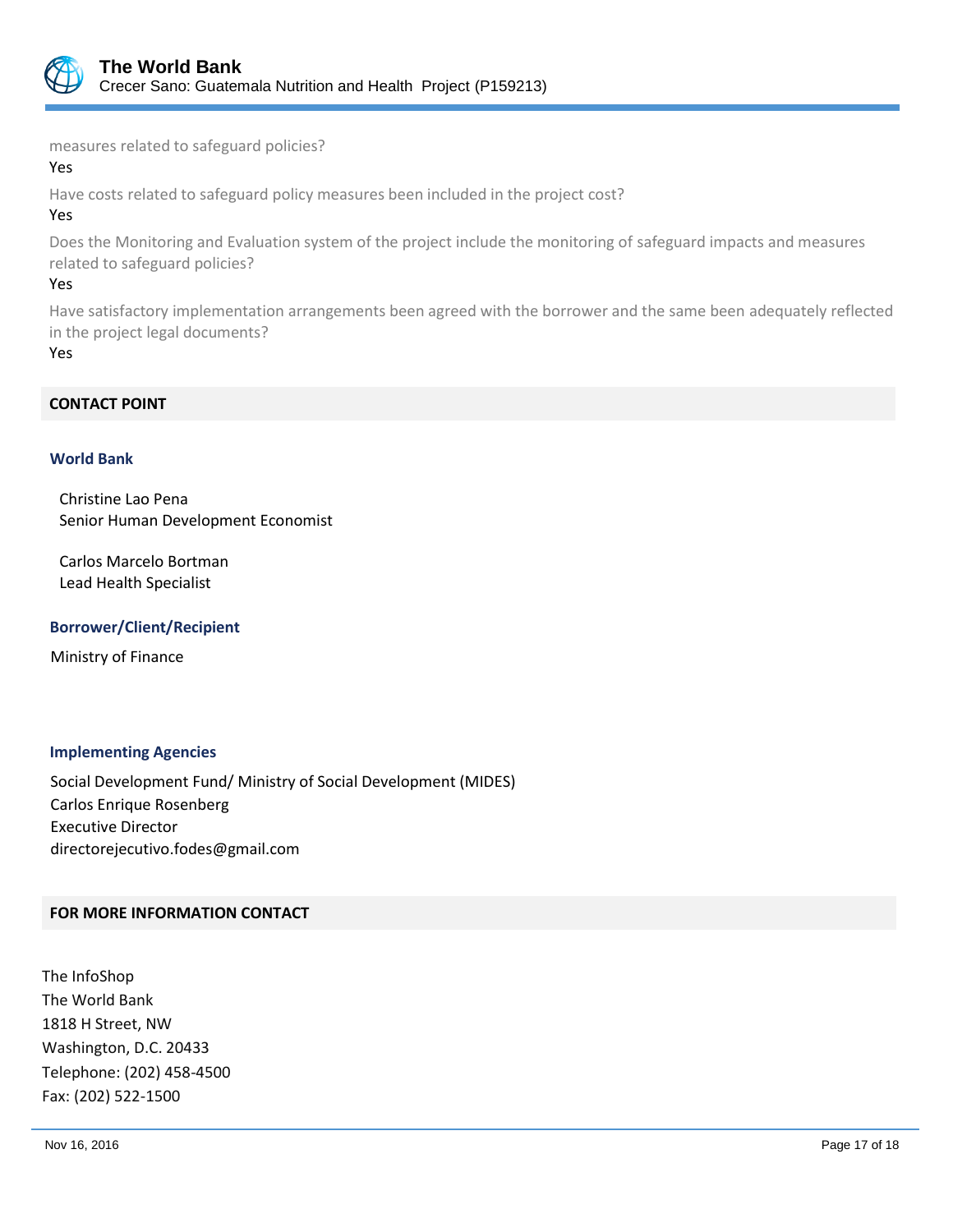

measures related to safeguard policies?

#### Yes

Have costs related to safeguard policy measures been included in the project cost?

# Yes

Does the Monitoring and Evaluation system of the project include the monitoring of safeguard impacts and measures related to safeguard policies?

## Yes

Have satisfactory implementation arrangements been agreed with the borrower and the same been adequately reflected in the project legal documents?

#### Yes

## **CONTACT POINT**

## **World Bank**

Christine Lao Pena Senior Human Development Economist

Carlos Marcelo Bortman Lead Health Specialist

## **Borrower/Client/Recipient**

Ministry of Finance

## **Implementing Agencies**

Social Development Fund/ Ministry of Social Development (MIDES) Carlos Enrique Rosenberg Executive Director directorejecutivo.fodes@gmail.com

## **FOR MORE INFORMATION CONTACT**

The InfoShop The World Bank 1818 H Street, NW Washington, D.C. 20433 Telephone: (202) 458-4500 Fax: (202) 522-1500